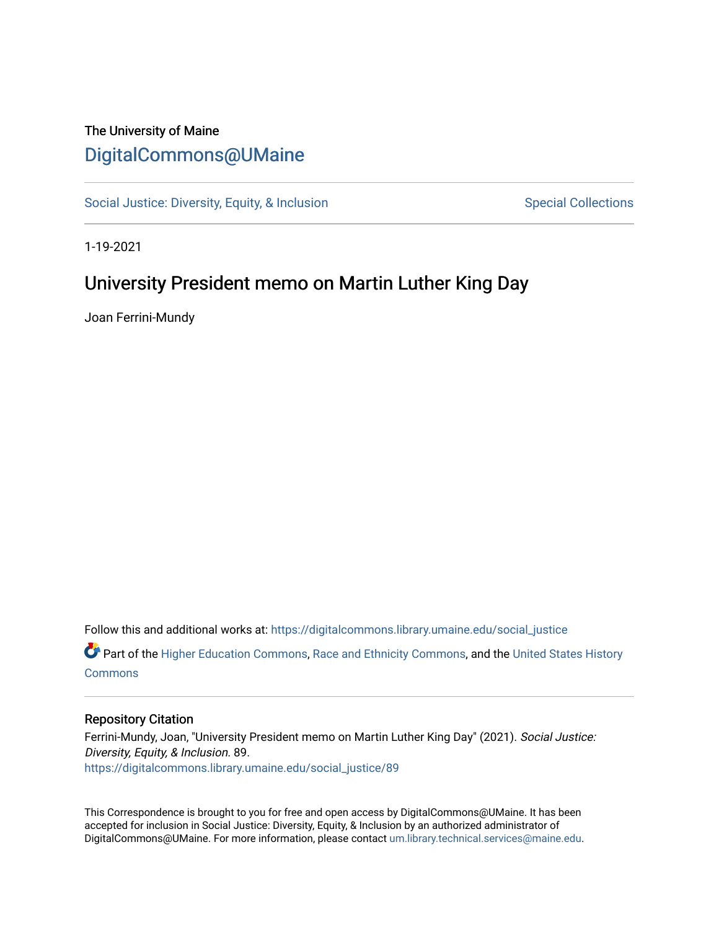## The University of Maine [DigitalCommons@UMaine](https://digitalcommons.library.umaine.edu/)

[Social Justice: Diversity, Equity, & Inclusion](https://digitalcommons.library.umaine.edu/social_justice) [Special Collections](https://digitalcommons.library.umaine.edu/specialcollections) Special Collections

1-19-2021

## University President memo on Martin Luther King Day

Joan Ferrini-Mundy

Follow this and additional works at: [https://digitalcommons.library.umaine.edu/social\\_justice](https://digitalcommons.library.umaine.edu/social_justice?utm_source=digitalcommons.library.umaine.edu%2Fsocial_justice%2F89&utm_medium=PDF&utm_campaign=PDFCoverPages) 

Part of the [Higher Education Commons,](http://network.bepress.com/hgg/discipline/1245?utm_source=digitalcommons.library.umaine.edu%2Fsocial_justice%2F89&utm_medium=PDF&utm_campaign=PDFCoverPages) [Race and Ethnicity Commons,](http://network.bepress.com/hgg/discipline/426?utm_source=digitalcommons.library.umaine.edu%2Fsocial_justice%2F89&utm_medium=PDF&utm_campaign=PDFCoverPages) and the [United States History](http://network.bepress.com/hgg/discipline/495?utm_source=digitalcommons.library.umaine.edu%2Fsocial_justice%2F89&utm_medium=PDF&utm_campaign=PDFCoverPages)  **[Commons](http://network.bepress.com/hgg/discipline/495?utm_source=digitalcommons.library.umaine.edu%2Fsocial_justice%2F89&utm_medium=PDF&utm_campaign=PDFCoverPages)** 

## Repository Citation

Ferrini-Mundy, Joan, "University President memo on Martin Luther King Day" (2021). Social Justice: Diversity, Equity, & Inclusion. 89. [https://digitalcommons.library.umaine.edu/social\\_justice/89](https://digitalcommons.library.umaine.edu/social_justice/89?utm_source=digitalcommons.library.umaine.edu%2Fsocial_justice%2F89&utm_medium=PDF&utm_campaign=PDFCoverPages)

This Correspondence is brought to you for free and open access by DigitalCommons@UMaine. It has been accepted for inclusion in Social Justice: Diversity, Equity, & Inclusion by an authorized administrator of DigitalCommons@UMaine. For more information, please contact [um.library.technical.services@maine.edu](mailto:um.library.technical.services@maine.edu).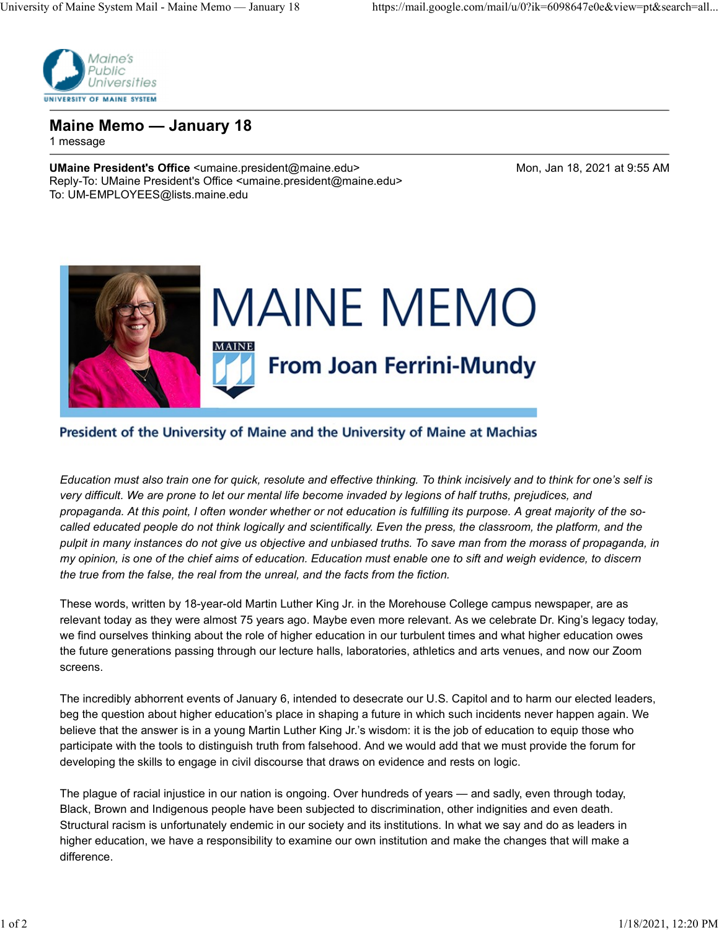

Maine Memo — January 18 1 message

UMaine President's Office <umaine.president@maine.edu> Mon, Jan 18, 2021 at 9:55 AM Reply-To: UMaine President's Office <umaine.president@maine.edu> To: UM-EMPLOYEES@lists.maine.edu



## President of the University of Maine and the University of Maine at Machias

Education must also train one for quick, resolute and effective thinking. To think incisively and to think for one's self is very difficult. We are prone to let our mental life become invaded by legions of half truths, prejudices, and propaganda. At this point, I often wonder whether or not education is fulfilling its purpose. A great majority of the socalled educated people do not think logically and scientifically. Even the press, the classroom, the platform, and the pulpit in many instances do not give us objective and unbiased truths. To save man from the morass of propaganda, in my opinion, is one of the chief aims of education. Education must enable one to sift and weigh evidence, to discern the true from the false, the real from the unreal, and the facts from the fiction.

These words, written by 18-year-old Martin Luther King Jr. in the Morehouse College campus newspaper, are as relevant today as they were almost 75 years ago. Maybe even more relevant. As we celebrate Dr. King's legacy today, we find ourselves thinking about the role of higher education in our turbulent times and what higher education owes the future generations passing through our lecture halls, laboratories, athletics and arts venues, and now our Zoom screens.

The incredibly abhorrent events of January 6, intended to desecrate our U.S. Capitol and to harm our elected leaders, beg the question about higher education's place in shaping a future in which such incidents never happen again. We believe that the answer is in a young Martin Luther King Jr.'s wisdom: it is the job of education to equip those who participate with the tools to distinguish truth from falsehood. And we would add that we must provide the forum for developing the skills to engage in civil discourse that draws on evidence and rests on logic.

The plague of racial injustice in our nation is ongoing. Over hundreds of years — and sadly, even through today, Black, Brown and Indigenous people have been subjected to discrimination, other indignities and even death. Structural racism is unfortunately endemic in our society and its institutions. In what we say and do as leaders in higher education, we have a responsibility to examine our own institution and make the changes that will make a difference.